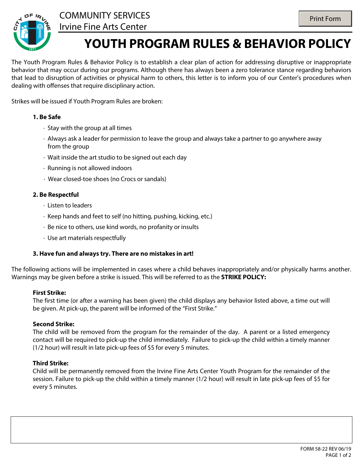



### COMMUNITY SERVICES Irvine Fine Arts Center

# **YOUTH PROGRAM RULES & BEHAVIOR POLICY**

The Youth Program Rules & Behavior Policy is to establish a clear plan of action for addressing disruptive or inappropriate behavior that may occur during our programs. Although there has always been a zero tolerance stance regarding behaviors that lead to disruption of activities or physical harm to others, this letter is to inform you of our Center's procedures when dealing with offenses that require disciplinary action.

Strikes will be issued if Youth Program Rules are broken:

#### **1. Be Safe**

- · Stay with the group at all times
- · Always ask a leader for permission to leave the group and always take a partner to go anywhere away from the group
- · Wait inside the art studio to be signed out each day
- · Running is not allowed indoors
- · Wear closed-toe shoes (no Crocs or sandals)

#### **2. Be Respectful**

- · Listen to leaders
- · Keep hands and feet to self (no hitting, pushing, kicking, etc.)
- · Be nice to others, use kind words, no profanity or insults
- · Use art materials respectfully

#### **3. Have fun and always try. There are no mistakes in art!**

The following actions will be implemented in cases where a child behaves inappropriately and/or physically harms another. Warnings may be given before a strike is issued. This will be referred to as the **STRIKE POLICY:**

#### **First Strike:**

The first time (or after a warning has been given) the child displays any behavior listed above, a time out will be given. At pick-up, the parent will be informed of the "First Strike."

#### **Second Strike:**

The child will be removed from the program for the remainder of the day. A parent or a listed emergency contact will be required to pick-up the child immediately. Failure to pick-up the child within a timely manner (1/2 hour) will result in late pick-up fees of \$5 for every 5 minutes.

#### **Third Strike:**

Child will be permanently removed from the Irvine Fine Arts Center Youth Program for the remainder of the session. Failure to pick-up the child within a timely manner (1/2 hour) will result in late pick-up fees of \$5 for every 5 minutes.